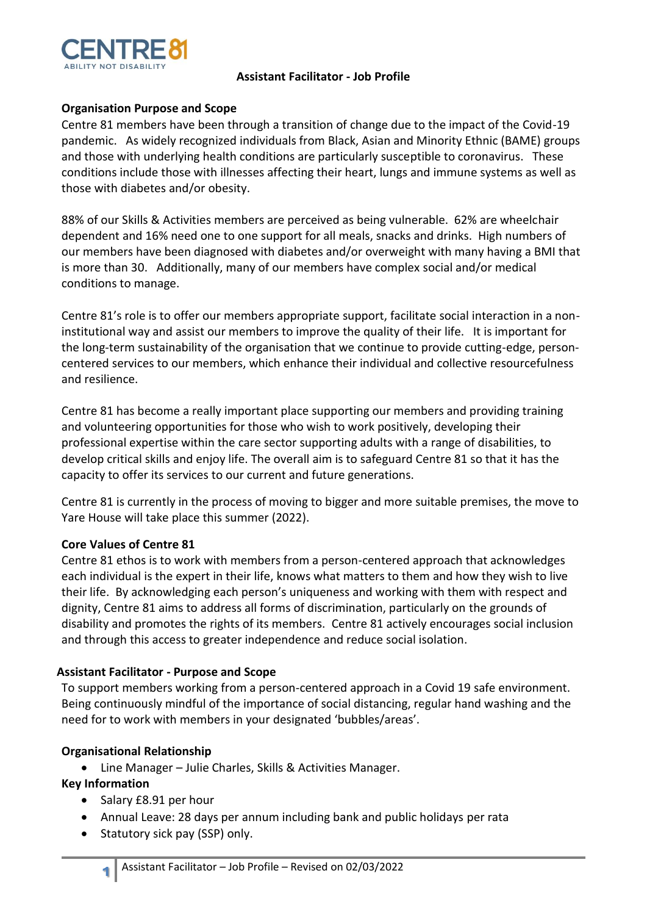

## **Assistant Facilitator - Job Profile**

## **Organisation Purpose and Scope**

Centre 81 members have been through a transition of change due to the impact of the Covid-19 pandemic. As widely recognized individuals from Black, Asian and Minority Ethnic (BAME) groups and those with underlying health conditions are particularly susceptible to coronavirus. These conditions include those with illnesses affecting their heart, lungs and immune systems as well as those with diabetes and/or obesity.

88% of our Skills & Activities members are perceived as being vulnerable. 62% are wheelchair dependent and 16% need one to one support for all meals, snacks and drinks. High numbers of our members have been diagnosed with diabetes and/or overweight with many having a BMI that is more than 30. Additionally, many of our members have complex social and/or medical conditions to manage.

Centre 81's role is to offer our members appropriate support, facilitate social interaction in a noninstitutional way and assist our members to improve the quality of their life. It is important for the long-term sustainability of the organisation that we continue to provide cutting-edge, personcentered services to our members, which enhance their individual and collective resourcefulness and resilience.

Centre 81 has become a really important place supporting our members and providing training and volunteering opportunities for those who wish to work positively, developing their professional expertise within the care sector supporting adults with a range of disabilities, to develop critical skills and enjoy life. The overall aim is to safeguard Centre 81 so that it has the capacity to offer its services to our current and future generations.

Centre 81 is currently in the process of moving to bigger and more suitable premises, the move to Yare House will take place this summer (2022).

### **Core Values of Centre 81**

Centre 81 ethos is to work with members from a person-centered approach that acknowledges each individual is the expert in their life, knows what matters to them and how they wish to live their life. By acknowledging each person's uniqueness and working with them with respect and dignity, Centre 81 aims to address all forms of discrimination, particularly on the grounds of disability and promotes the rights of its members. Centre 81 actively encourages social inclusion and through this access to greater independence and reduce social isolation.

### **Assistant Facilitator - Purpose and Scope**

To support members working from a person-centered approach in a Covid 19 safe environment. Being continuously mindful of the importance of social distancing, regular hand washing and the need for to work with members in your designated 'bubbles/areas'.

# **Organisational Relationship**

• Line Manager – Julie Charles, Skills & Activities Manager.

# **Key Information**

- Salary £8.91 per hour
- Annual Leave: 28 days per annum including bank and public holidays per rata
- Statutory sick pay (SSP) only.